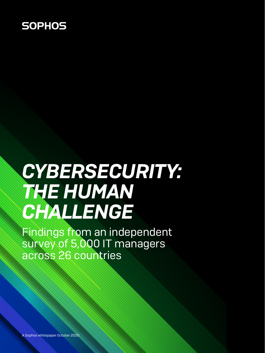## **SOPHOS**

# *CYBERSECURITY: THE HUMAN CHALLENGE*

Findings from an independent survey of 5,000 IT managers across 26 countries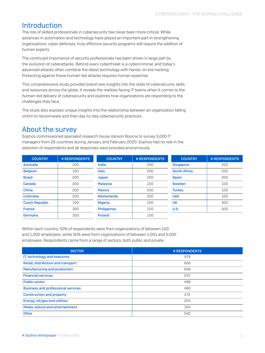## Introduction

The role of skilled professionals in cybersecurity has never been more critical. While advances in automation and technology have played an important part in strengthening organizations' cyber defenses, truly effective security programs still require the addition of human experts.

The continued importance of security professionals has been driven in large part by the evolution of cyberattacks. Behind every cyberthreat is a cybercriminal, and today's advanced attacks often combine the latest technology with hands-on live hacking. Protecting against these human-led attacks requires human expertise.

This comprehensive study provides brand new insights into the state of cybersecurity skills and resources across the globe. It reveals the realities facing IT teams when it comes to the human-led delivery of cybersecurity and explores how organizations are responding to the challenges they face.

The study also exposes unique insights into the relationship between an organization falling victim to ransomware and their day-to-day cybersecurity practices.

## About the survey

Sophos commissioned specialist research house Vanson Bourne to survey 5,000 IT managers from 26 countries during January and February 2020. Sophos had no role in the selection of respondents and all responses were provided anonymously.

| <b>COUNTRY</b>        | # RESPONDENTS | <b>COUNTRY</b>     | # RESPONDENTS | <b>COUNTRY</b>      | # RESPONDENTS |
|-----------------------|---------------|--------------------|---------------|---------------------|---------------|
| <b>Australia</b>      | 200           | India              | 300           | <b>Singapore</b>    | 200           |
| <b>Belgium</b>        | 100           | <b>Italy</b>       | 200           | <b>South Africa</b> | 200           |
| <b>Brazil</b>         | 200           | Japan              | 200           | <b>Spain</b>        | 200           |
| Canada                | 200           | Malaysia           | 100           | <b>Sweden</b>       | 100           |
| China                 | 200           | <b>Mexico</b>      | 200           | <b>Turkey</b>       | 100           |
| Colombia              | 200           | <b>Netherlands</b> | 200           | <b>UAE</b>          | 100           |
| <b>Czech Republic</b> | 100           | <b>Nigeria</b>     | 100           | <b>UK</b>           | 300           |
| <b>France</b>         | 300           | <b>Philippines</b> | 100           | U.S.                | 500           |
| Germany               | 300           | <b>Poland</b>      | 100           |                     |               |

Within each country, 50% of respondents were from organizations of between 100 and 1,000 employees, while 50% were from organizations of between 1,001 and 5,000 employees. Respondents came from a range of sectors, both public and private.

| <b>SECTOR</b>                             | # RESPONDENTS |
|-------------------------------------------|---------------|
| IT, technology and telecoms               | 979           |
| Retail, distribution and transport        | 666           |
| <b>Manufacturing and production</b>       | 648           |
| <b>Financial services</b>                 | 547           |
| <b>Public sector</b>                      | 498           |
| <b>Business and professional services</b> | 480           |
| <b>Construction and property</b>          | 272           |
| Energy, oil/gas and utilities             | 204           |
| Media, leisure and entertainment          | 164           |
| <b>Other</b>                              | 542           |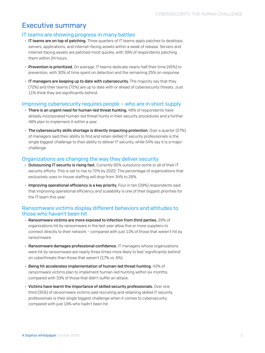## Executive summary

#### IT teams are showing progress in many battles

- $\rightarrow$  IT teams are on top of patching. Three quarters of IT teams apply patches to desktops, servers, applications, and internet-facing assets within a week of release. Servers and internet-facing assets are patched most quickly, with 39% of respondents patching them within 24 hours.
- $\rightarrow$  Prevention is prioritized. On average, IT teams dedicate nearly half their time (45%) to prevention, with 30% of time spent on detection and the remaining 25% on response.
- $\rightarrow$  IT managers are keeping up to date with cybersecurity. The majority say that they (72%) and their teams (72%) are up to date with or ahead of cybersecurity threats. Just 11% think they are significantly behind.

#### Improving cybersecurity requires people – who are in short supply

- $\rightarrow$  There is an urgent need for human-led threat hunting. 48% of respondents have already incorporated human-led threat hunts in their security procedures and a further 48% plan to implement it within a year.
- $\rightarrow$  The cybersecurity skills shortage is directly impacting protection. Over a quarter (27%) of managers said their ability to find and retain skilled IT security professionals is the single biggest challenge to their ability to deliver IT security, while 54% say it is a major challenge.

#### Organizations are changing the way they deliver security

- **Outsourcing IT security is rising fast.** Currently 65% outsource some or all of their IT security efforts. This is set to rise to 72% by 2022. The percentage of organizations that exclusively uses in-house staffing will drop from 34% to 26%.
- $\rightarrow$  Improving operational efficiency is a key priority. Four in ten (39%) respondents said that improving operational efficiency and scalability is one of their biggest priorities for the IT team this year.

#### Ransomware victims display different behaviors and attitudes to those who haven't been hit

- $\rightarrow$  Ransomware victims are more exposed to infection from third parties. 29% of organizations hit by ransomware in the last year allow five or more suppliers to connect directly to their network – compared with just 13% of those that weren't hit by ransomware.
- $\rightarrow$  Ransomware damages professional confidence. IT managers whose organizations were hit by ransomware are nearly three times more likely to feel 'significantly behind' on cyberthreats than those that weren't (17% vs. 6%).
- $\rightarrow$  Being hit accelerates implementation of human-led threat hunting. 43% of ransomware victims plan to implement human-led hunting within six months, compared with 33% of those that didn't suffer an attack.
- $\rightarrow$  Victims have learnt the importance of skilled security professionals. Over one third (35%) of ransomware victims said recruiting and retaining skilled IT security professionals is their single biggest challenge when it comes to cybersecurity, compared with just 19% who hadn't been hit.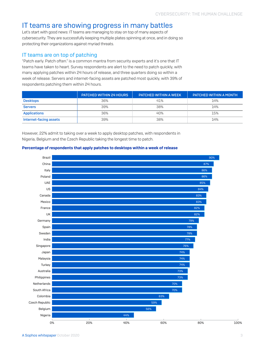## IT teams are showing progress in many battles

Let's start with good news: IT teams are managing to stay on top of many aspects of cybersecurity. They are successfully keeping multiple plates spinning at once, and in doing so protecting their organizations against myriad threats.

#### IT teams are on top of patching

"Patch early. Patch often." is a common mantra from security experts and it's one that IT teams have taken to heart. Survey respondents are alert to the need to patch quickly, with many applying patches within 24 hours of release, and three quarters doing so within a week of release. Servers and internet-facing assets are patched most quickly, with 39% of respondents patching them within 24 hours.

|                        | <b>PATCHED WITHIN 24 HOURS</b> | <b>PATCHED WITHIN A WEEK</b> | <b>PATCHED WITHIN A MONTH</b> |
|------------------------|--------------------------------|------------------------------|-------------------------------|
| <b>Desktops</b>        | 36%                            | 41%                          | 14%                           |
| <b>Servers</b>         | 39%                            | 38%                          | 14%                           |
| <b>Applications</b>    | 36%                            | 40%                          | 15%                           |
| Internet-facing assets | 39%                            | 38%                          | 14%                           |

However, 22% admit to taking over a week to apply desktop patches, with respondents in Nigeria, Belgium and the Czech Republic taking the longest time to patch.



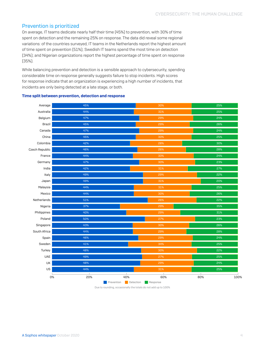#### Prevention is prioritized

On average, IT teams dedicate nearly half their time (45%) to prevention, with 30% of time spent on detection and the remaining 25% on response. The data did reveal some regional variations: of the countries surveyed, IT teams in the Netherlands report the highest amount of time spent on prevention (51%); Swedish IT teams spend the most time on detection (34%); and Nigerian organizations report the highest percentage of time spent on response (35%).

While balancing prevention and detection is a sensible approach to cybersecurity, spending considerable time on response generally suggests failure to stop incidents. High scores for response indicate that an organization is experiencing a high number of incidents, that incidents are only being detected at a late stage, or both.

#### Average Australia Belgium Brazil Canada China Colombia Czech Republic France Germany India Italy Japan Malaysia Mexico Netherlands Nigeria Philippines Poland Singapore South Africa Spain Sweden **Turkey** UAE UK US 0% 20% 40% 60% 80% 100% 45% 44% 47% 45% 47% 45% 42% 46% 44% 47% 42% 49% 49% 44% 44% 51% 37% 40% 50% 43% 44% 46% 41% 48% 49% 48% 44% 29% 30% 26% 33% 31% 29% 30% 29% 29% 27% 29% 29% 34% 27% 29% 31% 25% 25% 24% 26% 24% 25% 30% 28% 24% 27% 22% 20% 25% 26% 22% 35% 31% 23% 26% 28% 24% 25% 22% 25% 24% 25%

#### Time split between prevention, detection and response

Prevention Detection Response Due to rounding, occasionally the totals do not add up to 100%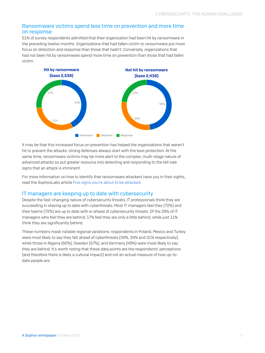#### Ransomware victims spend less time on prevention and more time on response

51% of survey respondents admitted that their organization had been hit by ransomware in the preceding twelve months. Organizations that had fallen victim to ransomware put more focus on detection and response than those that hadn't. Conversely, organizations that had not been hit by ransomware spend more time on prevention than those that had fallen victim.



It may be that this increased focus on prevention has helped the organizations that weren't hit to prevent the attacks: strong defenses always start with the best protection. At the same time, ransomware victims may be more alert to the complex, multi-stage nature of advanced attacks so put greater resource into detecting and responding to the tell-tale signs that an attack is imminent.

For more information on how to identify that ransomware attackers have you in their sights, read the SophosLabs article [Five signs you're about to be attacked.](https://news.sophos.com/en-us/2020/08/04/the-realities-of-ransomware-five-signs-youre-about-to-be-attacked/)

#### IT managers are keeping up to date with cybersecurity

Despite the fast-changing nature of cybersecurity threats, IT professionals think they are succeeding in staying up to date with cyberthreats. Most IT managers feel they (72%) and their teams (72%) are up to date with or ahead of cybersecurity threats. Of the 28% of IT managers who feel they are behind, 17% feel they are only a little behind, while just 11% think they are significantly behind.

These numbers mask notable regional variations: respondents in Poland, Mexico and Turkey were most likely to say they felt ahead of cyberthreats (39%, 34% and 31% respectively), while those in Nigeria (60%), Sweden (57%), and Germany (49%) were most likely to say they are behind. It's worth noting that these data points are the respondents' perceptions (and therefore there is likely a cultural impact) and not an actual measure of how up-todate people are.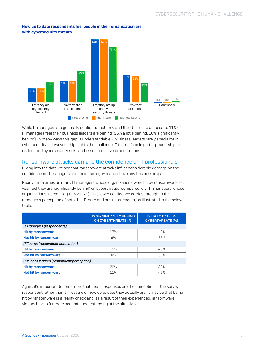#### How up to date respondents feel people in their organization are with cybersecurity threats



While IT managers are generally confident that they and their team are up to date, 41% of IT managers feel their business leaders are behind (25% a little behind, 16% significantly behind). In many ways this gap is understandable – business leaders rarely specialize in cybersecurity – however it highlights the challenge IT teams face in getting leadership to understand cybersecurity risks and associated investment requests.

#### Ransomware attacks damage the confidence of IT professionals

Diving into the data we see that ransomware attacks inflict considerable damage on the confidence of IT managers and their teams, over and above any business impact.

Nearly three times as many IT managers whose organizations were hit by ransomware last year feel they are 'significantly behind' on cyberthreats, compared with IT managers whose organizations weren't hit (17% vs. 6%). This lower confidence carries through to the IT manager's perception of both the IT team and business leaders, as illustrated in the below table.

|                                          | <b>IS SIGNIFICANTLY BEHIND</b><br><b>ON CYBERTHREATS [%]</b> | <b>IS UP TO DATE ON</b><br><b>CYBERTHREATS [%]</b> |  |  |
|------------------------------------------|--------------------------------------------------------------|----------------------------------------------------|--|--|
| <b>IT Managers (respondents)</b>         |                                                              |                                                    |  |  |
| Hit by ransomware                        | 17%                                                          | 43%                                                |  |  |
| Not hit by ransomware                    | 6%                                                           | 57%                                                |  |  |
| IT Teams (respondent perception)         |                                                              |                                                    |  |  |
| <b>Hit by ransomware</b>                 | 15%                                                          | 43%                                                |  |  |
| Not hit by ransomware                    | 6%                                                           | 58%                                                |  |  |
| Business leaders (respondent perception) |                                                              |                                                    |  |  |
| <b>Hit by ransomware</b>                 | 20%                                                          | 39%                                                |  |  |
| Not hit by ransomware                    | 11%                                                          | 49%                                                |  |  |

Again, it's important to remember that these responses are the perception of the survey respondent rather than a measure of how up to date they actually are. It may be that being hit by ransomware is a reality check and, as a result of their experiences, ransomware victims have a far more accurate understanding of the situation.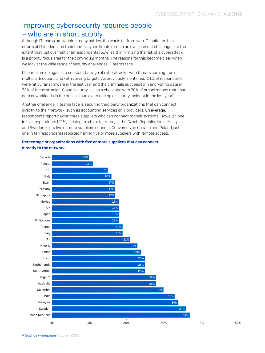## Improving cybersecurity requires people – who are in short supply

Although IT teams are winning many battles, the war is far from won. Despite the best efforts of IT leaders and their teams, cyberthreats remain an ever-present challenge – to the extent that just over half of all respondents (51%) said minimizing the risk of a cyberattack is a priority focus area for the coming 12 months. The reasons for this become clear when we look at the wide range of security challenges IT teams face.

IT teams are up against a constant barrage of cyberattacks, with threats coming from multiple directions and with varying targets. As previously mentioned, 51% of respondents were hit by ransomware in the last year and the criminals succeeded in encrypting data in 73% of these attacks\* . Cloud security is also a challenge with 70% of organizations that host data or workloads in the public cloud experiencing a security incident in the last year\*\*.

Another challenge IT teams face is securing third party organizations that can connect directly to their network, such as accounting services or IT providers. On average, respondents report having three suppliers who can connect to their systems. However, one in five respondents (21%) – rising to a third (or more) in the Czech Republic, India, Malaysia and Sweden – lets five or more suppliers connect. Conversely, in Canada and Poland just one in ten respondents reported having five or more suppliers with remote access.

#### Percentage of organizations with five or more suppliers that can connect directly to the network

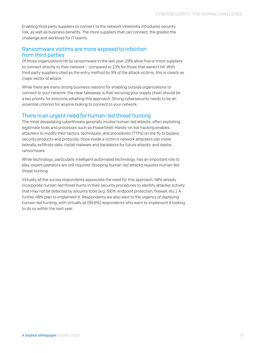Enabling third party suppliers to connect to the network inherently introduces security risk, as well as business benefits. The more suppliers that can connect, the greater the challenge and workload for IT teams.

#### Ransomware victims are more exposed to infection from third parties

Of those organizations hit by ransomware in the last year, 29% allow five or more suppliers to connect directly to their network – compared to 13% for those that weren't hit. With third party suppliers cited as the entry method by 9% of the attack victims, this is clearly as major vector of attack.

While there are many strong business reasons for enabling outside organizations to connect to your network, the clear takeaway is that securing your supply chain should be a key priority for everyone adopting this approach. Strong cybersecurity needs to be an essential criterion for anyone looking to connect to your network.

#### There is an urgent need for human-led threat hunting

The most devastating cyberthreats generally involve human-led attacks, often exploiting legitimate tools and processes such as PowerShell. Hands-on live hacking enables attackers to modify their tactics, techniques, and procedures (TTPs) on the fly to bypass security products and protocols. Once inside a victim's network attackers can move laterally, exfiltrate data, install malware and backdoors for future attacks, and deploy ransomware.

While technology, particularly intelligent automated technology, has an important role to play, expert operators are still required. Stopping human-led attacks requires human-led threat hunting.

Virtually all the survey respondents appreciate the need for this approach: 48% already incorporate human-led threat hunts in their security procedures to identify attacker activity that may not be detected by security tools (e.g. SIEM, endpoint protection, firewall, etc.). A further 48% plan to implement it. Respondents are also alert to the urgency of deploying human-led hunting, with virtually all (99.6%) respondents who want to implement it looking to do so within the next year.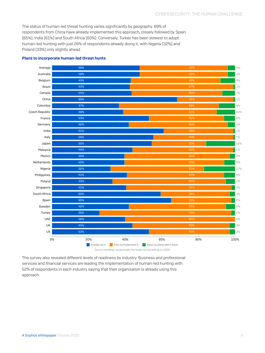The status of human-led threat hunting varies significantly by geography. 69% of respondents from China have already implemented this approach, closely followed by Spain (65%), India (61%) and South Africa (60%). Conversely, Turkey has been slowest to adopt human-led hunting with just 26% of respondents already doing it, with Nigeria (32%) and Poland (33%) only slightly ahead.



#### Plans to incorporate human-led threat hunts

The survey also revealed different levels of readiness by industry. Business and professional services and financial services are leading the implementation of human-led hunting with 52% of respondents in each industry saying that their organization is already using this approach.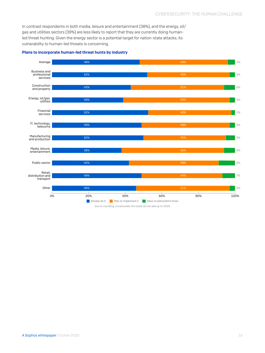In contrast respondents in both media, leisure and entertainment (38%), and the energy, oil/ gas and utilities sectors (39%) are less likely to report that they are currently doing humanled threat hunting. Given the energy sector is a potential target for nation-state attacks, its vulnerability to human-led threats is concerning.



#### Plans to incorporate human-led threat hunts by industry

Due to rounding, occasionally the totals do not add up to 100%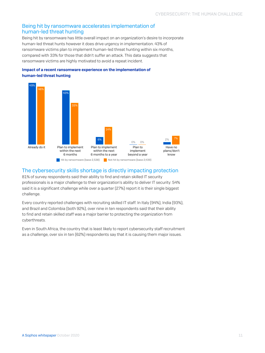#### Being hit by ransomware accelerates implementation of human-led threat hunting

Being hit by ransomware has little overall impact on an organization's desire to incorporate human-led threat hunts however it does drive urgency in implementation. 43% of ransomware victims plan to implement human-led threat hunting within six months, compared with 33% for those that didn't suffer an attack. This data suggests that ransomware victims are highly motivated to avoid a repeat incident.

#### Impact of a recent ransomware experience on the implementation of human-led threat hunting



#### The cybersecurity skills shortage is directly impacting protection

81% of survey respondents said their ability to find and retain skilled IT security professionals is a major challenge to their organization's ability to deliver IT security: 54% said it is a significant challenge while over a quarter (27%) report it is their single biggest challenge.

Every country reported challenges with recruiting skilled IT staff. In Italy (94%), India (93%), and Brazil and Colombia (both 92%), over nine in ten respondents said that their ability to find and retain skilled staff was a major barrier to protecting the organization from cyberthreats.

Even in South Africa, the country that is least likely to report cybersecurity staff recruitment as a challenge, over six in ten (62%) respondents say that it is causing them major issues.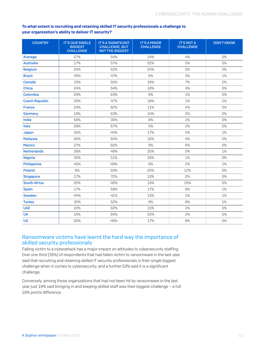#### To what extent is recruiting and retaining skilled IT security professionals a challenge to your organization's ability to deliver IT security?

| <b>COUNTRY</b>        | <b>IT'S OUR SINGLE</b><br><b>BIGGEST</b><br><b>CHALLENGE</b> | <b>IT'S A SIGNIFICANT</b><br><b>CHALLENGE, BUT</b><br><b>NOT THE BIGGEST</b> | <b>IT'S A MINOR</b><br><b>CHALLENGE</b> | <b>IT'S NOT A</b><br><b>CHALLENGE</b> | <b>DON'T KNOW</b> |
|-----------------------|--------------------------------------------------------------|------------------------------------------------------------------------------|-----------------------------------------|---------------------------------------|-------------------|
| Average               | 27%                                                          | 54%                                                                          | 14%                                     | 4%                                    | $0\%$             |
| <b>Australia</b>      | 17%                                                          | 57%                                                                          | 22%                                     | 5%                                    | 0%                |
| <b>Belgium</b>        | 24%                                                          | 52%                                                                          | 24%                                     | 0%                                    | 0%                |
| <b>Brazil</b>         | 45%                                                          | 47%                                                                          | 6%                                      | 3%                                    | 1%                |
| <b>Canada</b>         | 19%                                                          | 55%                                                                          | 18%                                     | 7%                                    | 2%                |
| China                 | 24%                                                          | 54%                                                                          | 18%                                     | 4%                                    | 0%                |
| Colombia              | 29%                                                          | 63%                                                                          | 8%                                      | 1%                                    | 0%                |
| <b>Czech Republic</b> | 33%                                                          | 47%                                                                          | 18%                                     | 1%                                    | 1%                |
| <b>France</b>         | 23%                                                          | 62%                                                                          | 11%                                     | 4%                                    | 0%                |
| Germany               | 19%                                                          | 63%                                                                          | 14%                                     | 5%                                    | 0%                |
| India                 | 58%                                                          | 35%                                                                          | 6%                                      | 1%                                    | 0%                |
| <b>Italy</b>          | 28%                                                          | 67%                                                                          | 5%                                      | 2%                                    | 0%                |
| Japan                 | 35%                                                          | 44%                                                                          | 17%                                     | 4%                                    | 1%                |
| <b>Malaysia</b>       | 26%                                                          | 54%                                                                          | 16%                                     | 4%                                    | 0%                |
| <b>Mexico</b>         | 27%                                                          | 62%                                                                          | 6%                                      | 6%                                    | 0%                |
| <b>Netherlands</b>    | 26%                                                          | 49%                                                                          | 25%                                     | 0%                                    | 1%                |
| <b>Nigeria</b>        | 32%                                                          | 51%                                                                          | 16%                                     | 1%                                    | 0%                |
| <b>Philippines</b>    | 40%                                                          | 49%                                                                          | 8%                                      | 2%                                    | 1%                |
| <b>Poland</b>         | 9%                                                           | 59%                                                                          | 20%                                     | 12%                                   | 0%                |
| <b>Singapore</b>      | 17%                                                          | 72%                                                                          | 10%                                     | 2%                                    | 0%                |
| <b>South Africa</b>   | 22%                                                          | 40%                                                                          | 19%                                     | 19%                                   | 0%                |
| <b>Spain</b>          | 17%                                                          | 58%                                                                          | 17%                                     | 8%                                    | 1%                |
| <b>Sweden</b>         | 44%                                                          | 41%                                                                          | 13%                                     | 1%                                    | 1%                |
| <b>Turkey</b>         | 30%                                                          | 52%                                                                          | 9%                                      | 8%                                    | 1%                |
| <b>UAE</b>            | 22%                                                          | 62%                                                                          | 15%                                     | 1%                                    | 0%                |
| <b>UK</b>             | 14%                                                          | 64%                                                                          | 20%                                     | 2%                                    | 0%                |
| <b>US</b>             | 26%                                                          | 49%                                                                          | 17%                                     | 8%                                    | 0%                |

#### Ransomware victims have learnt the hard way the importance of skilled security professionals

Falling victim to a cyberattack has a major impact on attitudes to cybersecurity staffing. Over one third (35%) of respondents that had fallen victim to ransomware in the last year said that recruiting and retaining skilled IT security professionals is their single biggest challenge when it comes to cybersecurity, and a further 53% said it is a significant challenge.

Conversely, among those organizations that had not been hit by ransomware in the last year just 19% said bringing in and keeping skilled staff was their biggest challenge – a full 16% points difference.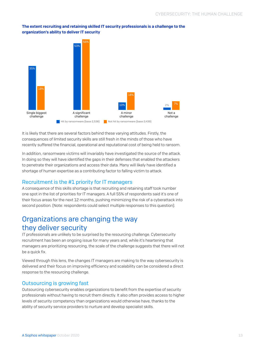

The extent recruiting and retaining skilled IT security professionals is a challenge to the organization's ability to deliver IT security

It is likely that there are several factors behind these varying attitudes. Firstly, the consequences of limited security skills are still fresh in the minds of those who have recently suffered the financial, operational and reputational cost of being held to ransom.

In addition, ransomware victims will invariably have investigated the source of the attack. In doing so they will have identified the gaps in their defenses that enabled the attackers to penetrate their organizations and access their data. Many will likely have identified a shortage of human expertise as a contributing factor to falling victim to attack.

#### Recruitment is the #1 priority for IT managers

A consequence of this skills shortage is that recruiting and retaining staff took number one spot in the list of priorities for IT managers. A full 55% of respondents said it's one of their focus areas for the next 12 months, pushing minimizing the risk of a cyberattack into second position. (Note: respondents could select multiple responses to this question).

## Organizations are changing the way they deliver security

IT professionals are unlikely to be surprised by the resourcing challenge. Cybersecurity recruitment has been an ongoing issue for many years and, while it's heartening that managers are prioritizing resourcing, the scale of the challenge suggests that there will not be a quick fix.

Viewed through this lens, the changes IT managers are making to the way cybersecurity is delivered and their focus on improving efficiency and scalability can be considered a direct response to the resourcing challenge.

#### Outsourcing is growing fast

Outsourcing cybersecurity enables organizations to benefit from the expertise of security professionals without having to recruit them directly. It also often provides access to higher levels of security competency than organizations would otherwise have, thanks to the ability of security service providers to nurture and develop specialist skills.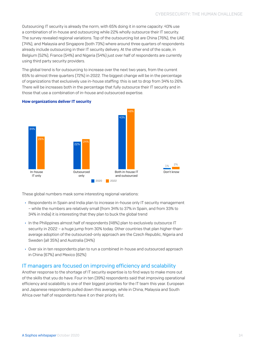Outsourcing IT security is already the norm, with 65% doing it in some capacity: 43% use a combination of in-house and outsourcing while 22% wholly outsource their IT security. The survey revealed regional variations. Top of the outsourcing list are China (76%), the UAE (74%), and Malaysia and Singapore (both 73%) where around three quarters of respondents already include outsourcing in their IT security delivery. At the other end of the scale, in Belgium (52%), France (54%) and Nigeria (54%) just over half of respondents are currently using third party security providers.

The global trend is for outsourcing to increase over the next two years, from the current 65% to almost three quarters (72%) in 2022. The biggest change will be in the percentage of organizations that exclusively use in-house staffing: this is set to drop from 34% to 26%. There will be increases both in the percentage that fully outsource their IT security and in those that use a combination of in-house and outsourced expertise.

#### How organizations deliver IT security



These global numbers mask some interesting regional variations:

- **EXECT And INDITY Respondents in Spain and India plan to increase in-house only IT security management** – while the numbers are relatively small (from 34% to 37% in Spain, and from 33% to 34% in India) it is interesting that they plan to buck the global trend
- In the Philippines almost half of respondents (48%) plan to exclusively outsource IT security in 2022 – a huge jump from 30% today. Other countries that plan higher-thanaverage adoption of the outsourced-only approach are the Czech Republic, Nigeria and Sweden (all 35%) and Australia (34%)
- $\rightarrow$  Over six in ten respondents plan to run a combined in-house and outsourced approach in China (67%) and Mexico (62%)

#### IT managers are focused on improving efficiency and scalability

Another response to the shortage of IT security expertise is to find ways to make more out of the skills that you do have. Four in ten (39%) respondents said that improving operational efficiency and scalability is one of their biggest priorities for the IT team this year. European and Japanese respondents pulled down this average, while in China, Malaysia and South Africa over half of respondents have it on their priority list.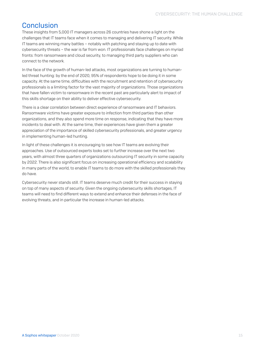## Conclusion

These insights from 5,000 IT managers across 26 countries have shone a light on the challenges that IT teams face when it comes to managing and delivering IT security. While IT teams are winning many battles – notably with patching and staying up to date with cybersecurity threats – the war is far from won. IT professionals face challenges on myriad fronts: from ransomware and cloud security, to managing third party suppliers who can connect to the network.

In the face of the growth of human-led attacks, most organizations are turning to humanled threat hunting: by the end of 2020, 95% of respondents hope to be doing it in some capacity. At the same time, difficulties with the recruitment and retention of cybersecurity professionals is a limiting factor for the vast majority of organizations. Those organizations that have fallen victim to ransomware in the recent past are particularly alert to impact of this skills shortage on their ability to deliver effective cybersecurity.

There is a clear correlation between direct experience of ransomware and IT behaviors. Ransomware victims have greater exposure to infection from third parties than other organizations, and they also spend more time on response, indicating that they have more incidents to deal with. At the same time, their experiences have given them a greater appreciation of the importance of skilled cybersecurity professionals, and greater urgency in implementing human-led hunting.

In light of these challenges it is encouraging to see how IT teams are evolving their approaches. Use of outsourced experts looks set to further increase over the next two years, with almost three quarters of organizations outsourcing IT security in some capacity by 2022. There is also significant focus on increasing operational efficiency and scalability in many parts of the world, to enable IT teams to do more with the skilled professionals they do have.

Cybersecurity never stands still. IT teams deserve much credit for their success in staying on top of many aspects of security. Given the ongoing cybersecurity skills shortages, IT teams will need to find different ways to extend and enhance their defenses in the face of evolving threats, and in particular the increase in human-led attacks.